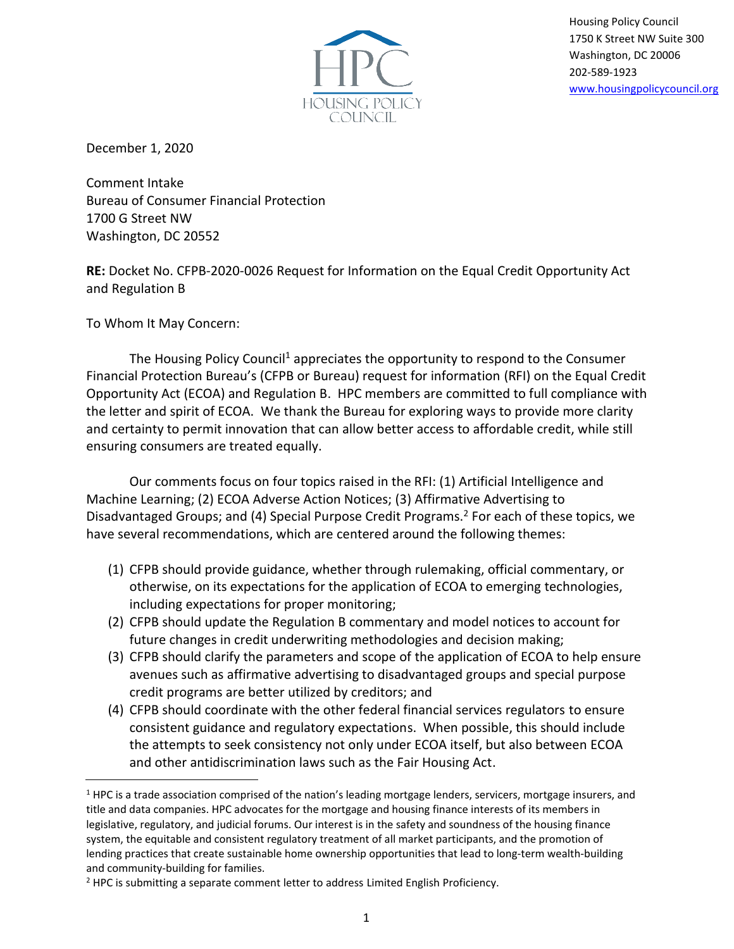

Housing Policy Council 1750 K Street NW Suite 300 Washington, DC 20006 202-589-1923 [www.housingpolicycouncil.org](http://www.housingpolicycouncil.org/)

December 1, 2020

Comment Intake Bureau of Consumer Financial Protection 1700 G Street NW Washington, DC 20552

**RE:** Docket No. CFPB-2020-0026 Request for Information on the Equal Credit Opportunity Act and Regulation B

To Whom It May Concern:

The Housing Policy Council<sup>1</sup> appreciates the opportunity to respond to the Consumer Financial Protection Bureau's (CFPB or Bureau) request for information (RFI) on the Equal Credit Opportunity Act (ECOA) and Regulation B. HPC members are committed to full compliance with the letter and spirit of ECOA. We thank the Bureau for exploring ways to provide more clarity and certainty to permit innovation that can allow better access to affordable credit, while still ensuring consumers are treated equally.

Our comments focus on four topics raised in the RFI: (1) Artificial Intelligence and Machine Learning; (2) ECOA Adverse Action Notices; (3) Affirmative Advertising to Disadvantaged Groups; and (4) Special Purpose Credit Programs.<sup>2</sup> For each of these topics, we have several recommendations, which are centered around the following themes:

- (1) CFPB should provide guidance, whether through rulemaking, official commentary, or otherwise, on its expectations for the application of ECOA to emerging technologies, including expectations for proper monitoring;
- (2) CFPB should update the Regulation B commentary and model notices to account for future changes in credit underwriting methodologies and decision making;
- (3) CFPB should clarify the parameters and scope of the application of ECOA to help ensure avenues such as affirmative advertising to disadvantaged groups and special purpose credit programs are better utilized by creditors; and
- (4) CFPB should coordinate with the other federal financial services regulators to ensure consistent guidance and regulatory expectations. When possible, this should include the attempts to seek consistency not only under ECOA itself, but also between ECOA and other antidiscrimination laws such as the Fair Housing Act.

<sup>&</sup>lt;sup>1</sup> HPC is a trade association comprised of the nation's leading mortgage lenders, servicers, mortgage insurers, and title and data companies. HPC advocates for the mortgage and housing finance interests of its members in legislative, regulatory, and judicial forums. Our interest is in the safety and soundness of the housing finance system, the equitable and consistent regulatory treatment of all market participants, and the promotion of lending practices that create sustainable home ownership opportunities that lead to long-term wealth-building and community-building for families.

<sup>&</sup>lt;sup>2</sup> HPC is submitting a separate comment letter to address Limited English Proficiency.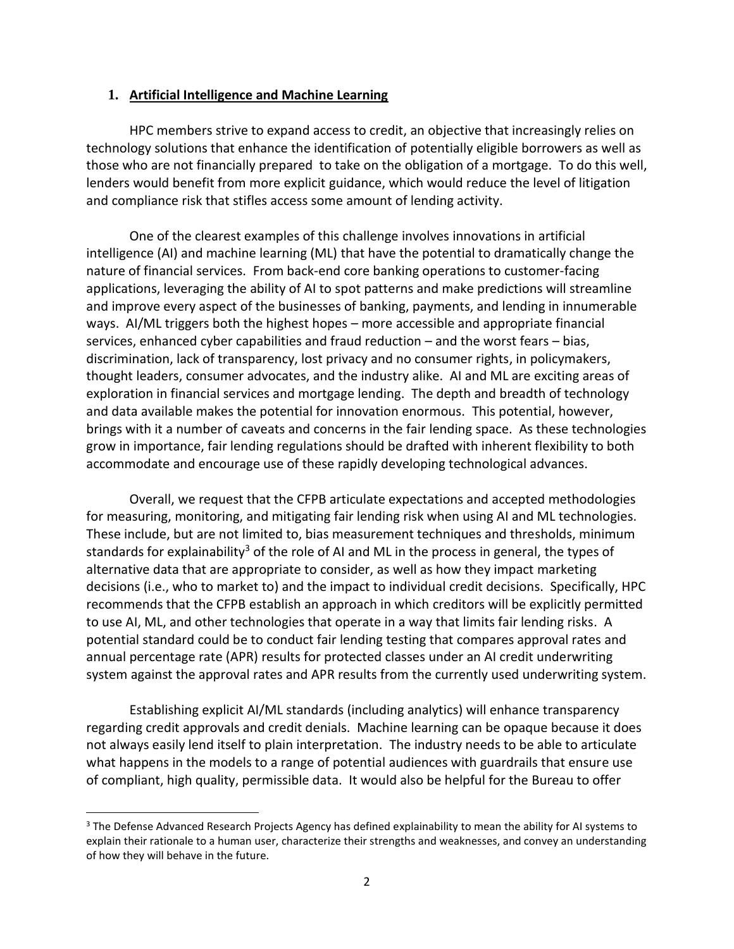## **1. Artificial Intelligence and Machine Learning**

HPC members strive to expand access to credit, an objective that increasingly relies on technology solutions that enhance the identification of potentially eligible borrowers as well as those who are not financially prepared to take on the obligation of a mortgage. To do this well, lenders would benefit from more explicit guidance, which would reduce the level of litigation and compliance risk that stifles access some amount of lending activity.

One of the clearest examples of this challenge involves innovations in artificial intelligence (AI) and machine learning (ML) that have the potential to dramatically change the nature of financial services. From back-end core banking operations to customer-facing applications, leveraging the ability of AI to spot patterns and make predictions will streamline and improve every aspect of the businesses of banking, payments, and lending in innumerable ways. AI/ML triggers both the highest hopes – more accessible and appropriate financial services, enhanced cyber capabilities and fraud reduction – and the worst fears – bias, discrimination, lack of transparency, lost privacy and no consumer rights, in policymakers, thought leaders, consumer advocates, and the industry alike. AI and ML are exciting areas of exploration in financial services and mortgage lending. The depth and breadth of technology and data available makes the potential for innovation enormous. This potential, however, brings with it a number of caveats and concerns in the fair lending space. As these technologies grow in importance, fair lending regulations should be drafted with inherent flexibility to both accommodate and encourage use of these rapidly developing technological advances.

Overall, we request that the CFPB articulate expectations and accepted methodologies for measuring, monitoring, and mitigating fair lending risk when using AI and ML technologies. These include, but are not limited to, bias measurement techniques and thresholds, minimum standards for explainability<sup>3</sup> of the role of AI and ML in the process in general, the types of alternative data that are appropriate to consider, as well as how they impact marketing decisions (i.e., who to market to) and the impact to individual credit decisions. Specifically, HPC recommends that the CFPB establish an approach in which creditors will be explicitly permitted to use AI, ML, and other technologies that operate in a way that limits fair lending risks. A potential standard could be to conduct fair lending testing that compares approval rates and annual percentage rate (APR) results for protected classes under an AI credit underwriting system against the approval rates and APR results from the currently used underwriting system.

Establishing explicit AI/ML standards (including analytics) will enhance transparency regarding credit approvals and credit denials. Machine learning can be opaque because it does not always easily lend itself to plain interpretation. The industry needs to be able to articulate what happens in the models to a range of potential audiences with guardrails that ensure use of compliant, high quality, permissible data. It would also be helpful for the Bureau to offer

<sup>&</sup>lt;sup>3</sup> The Defense Advanced Research Projects Agency has defined explainability to mean the ability for AI systems to explain their rationale to a human user, characterize their strengths and weaknesses, and convey an understanding of how they will behave in the future.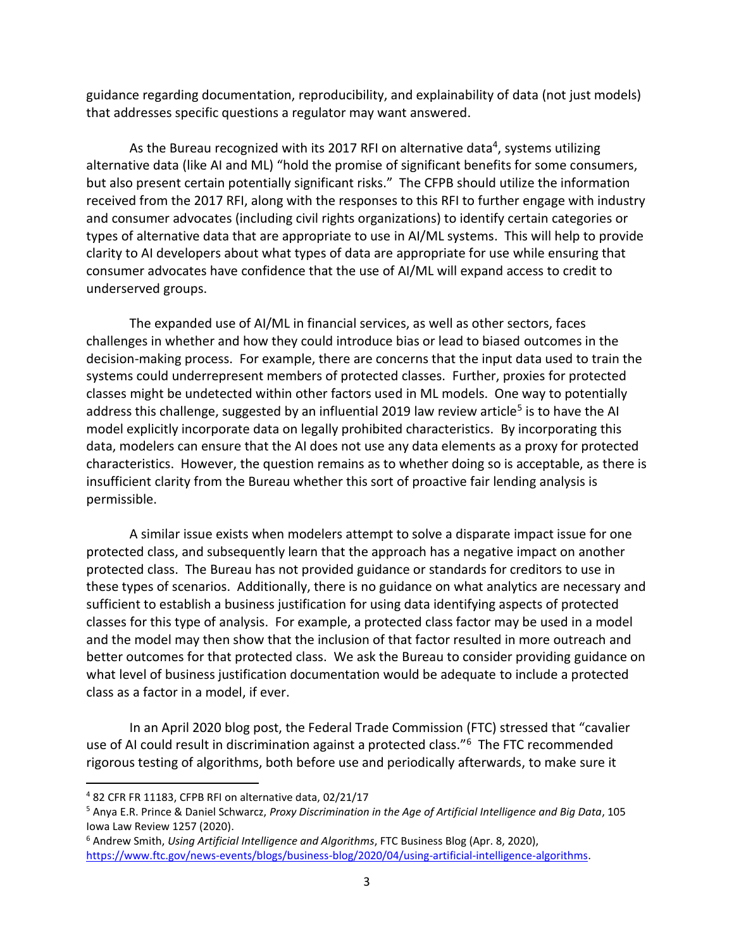guidance regarding documentation, reproducibility, and explainability of data (not just models) that addresses specific questions a regulator may want answered.

As the Bureau recognized with its 2017 RFI on alternative data<sup>4</sup>, systems utilizing alternative data (like AI and ML) "hold the promise of significant benefits for some consumers, but also present certain potentially significant risks." The CFPB should utilize the information received from the 2017 RFI, along with the responses to this RFI to further engage with industry and consumer advocates (including civil rights organizations) to identify certain categories or types of alternative data that are appropriate to use in AI/ML systems. This will help to provide clarity to AI developers about what types of data are appropriate for use while ensuring that consumer advocates have confidence that the use of AI/ML will expand access to credit to underserved groups.

The expanded use of AI/ML in financial services, as well as other sectors, faces challenges in whether and how they could introduce bias or lead to biased outcomes in the decision-making process. For example, there are concerns that the input data used to train the systems could underrepresent members of protected classes. Further, proxies for protected classes might be undetected within other factors used in ML models. One way to potentially address this challenge, suggested by an influential 2019 law review article<sup>5</sup> is to have the AI model explicitly incorporate data on legally prohibited characteristics. By incorporating this data, modelers can ensure that the AI does not use any data elements as a proxy for protected characteristics. However, the question remains as to whether doing so is acceptable, as there is insufficient clarity from the Bureau whether this sort of proactive fair lending analysis is permissible.

A similar issue exists when modelers attempt to solve a disparate impact issue for one protected class, and subsequently learn that the approach has a negative impact on another protected class. The Bureau has not provided guidance or standards for creditors to use in these types of scenarios. Additionally, there is no guidance on what analytics are necessary and sufficient to establish a business justification for using data identifying aspects of protected classes for this type of analysis. For example, a protected class factor may be used in a model and the model may then show that the inclusion of that factor resulted in more outreach and better outcomes for that protected class. We ask the Bureau to consider providing guidance on what level of business justification documentation would be adequate to include a protected class as a factor in a model, if ever.

In an April 2020 blog post, the Federal Trade Commission (FTC) stressed that "cavalier use of AI could result in discrimination against a protected class."<sup>6</sup> The FTC recommended rigorous testing of algorithms, both before use and periodically afterwards, to make sure it

<sup>6</sup> Andrew Smith, *Using Artificial Intelligence and Algorithms*, FTC Business Blog (Apr. 8, 2020), [https://www.ftc.gov/news-events/blogs/business-blog/2020/04/using-artificial-intelligence-algorithms.](https://www.ftc.gov/news-events/blogs/business-blog/2020/04/using-artificial-intelligence-algorithms)

<sup>4</sup> 82 CFR FR 11183, CFPB RFI on alternative data, 02/21/17

<sup>5</sup> Anya E.R. Prince & Daniel Schwarcz, *Proxy Discrimination in the Age of Artificial Intelligence and Big Data*, [105](https://papers.ssrn.com/sol3/papers.cfm?abstract_id=3347959)  [Iowa Law Review 1257 \(2020\).](https://papers.ssrn.com/sol3/papers.cfm?abstract_id=3347959)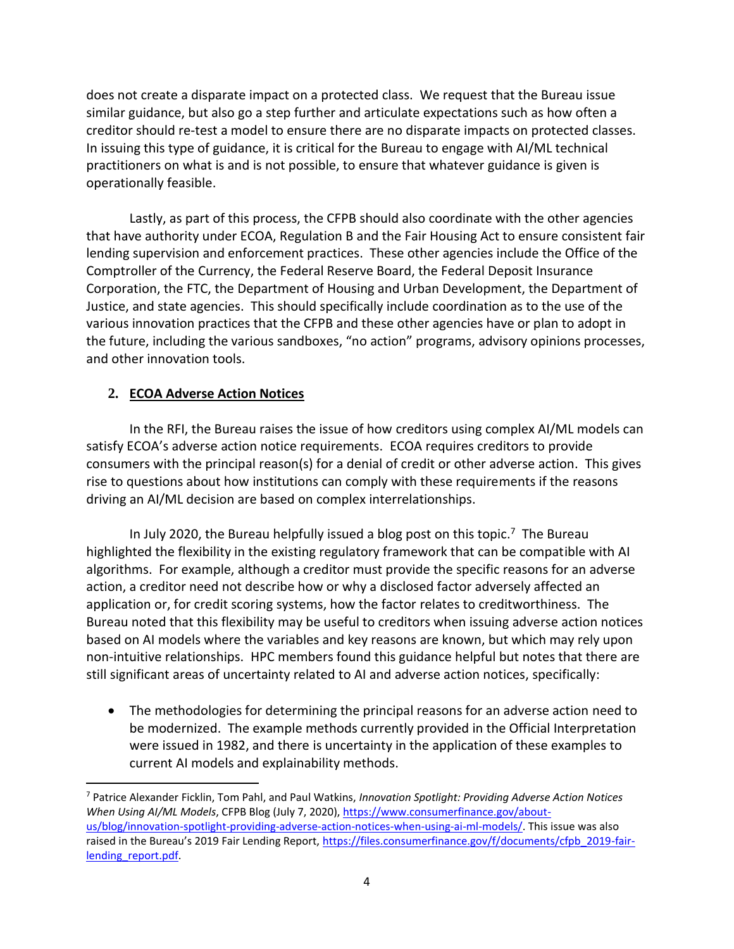does not create a disparate impact on a protected class. We request that the Bureau issue similar guidance, but also go a step further and articulate expectations such as how often a creditor should re-test a model to ensure there are no disparate impacts on protected classes. In issuing this type of guidance, it is critical for the Bureau to engage with AI/ML technical practitioners on what is and is not possible, to ensure that whatever guidance is given is operationally feasible.

Lastly, as part of this process, the CFPB should also coordinate with the other agencies that have authority under ECOA, Regulation B and the Fair Housing Act to ensure consistent fair lending supervision and enforcement practices. These other agencies include the Office of the Comptroller of the Currency, the Federal Reserve Board, the Federal Deposit Insurance Corporation, the FTC, the Department of Housing and Urban Development, the Department of Justice, and state agencies. This should specifically include coordination as to the use of the various innovation practices that the CFPB and these other agencies have or plan to adopt in the future, including the various sandboxes, "no action" programs, advisory opinions processes, and other innovation tools.

## **2. ECOA Adverse Action Notices**

In the RFI, the Bureau raises the issue of how creditors using complex AI/ML models can satisfy ECOA's adverse action notice requirements. ECOA requires creditors to provide consumers with the principal reason(s) for a denial of credit or other adverse action. This gives rise to questions about how institutions can comply with these requirements if the reasons driving an AI/ML decision are based on complex interrelationships.

In July 2020, the Bureau helpfully issued a blog post on this topic. <sup>7</sup> The Bureau highlighted the flexibility in the existing regulatory framework that can be compatible with AI algorithms. For example, although a creditor must provide the specific reasons for an adverse action, a creditor need not describe how or why a disclosed factor adversely affected an application or, for credit scoring systems, how the factor relates to creditworthiness. The Bureau noted that this flexibility may be useful to creditors when issuing adverse action notices based on AI models where the variables and key reasons are known, but which may rely upon non-intuitive relationships. HPC members found this guidance helpful but notes that there are still significant areas of uncertainty related to AI and adverse action notices, specifically:

• The methodologies for determining the principal reasons for an adverse action need to be modernized. The example methods currently provided in the Official Interpretation were issued in 1982, and there is uncertainty in the application of these examples to current AI models and explainability methods.

<sup>7</sup> Patrice Alexander Ficklin, Tom Pahl, and Paul Watkins, *Innovation Spotlight: Providing Adverse Action Notices When Using AI/ML Models*, CFPB Blog (July 7, 2020), [https://www.consumerfinance.gov/about](https://www.consumerfinance.gov/about-us/blog/innovation-spotlight-providing-adverse-action-notices-when-using-ai-ml-models/)[us/blog/innovation-spotlight-providing-adverse-action-notices-when-using-ai-ml-models/.](https://www.consumerfinance.gov/about-us/blog/innovation-spotlight-providing-adverse-action-notices-when-using-ai-ml-models/) This issue was also raised in the Bureau's 2019 Fair Lending Report, [https://files.consumerfinance.gov/f/documents/cfpb\\_2019-fair](https://files.consumerfinance.gov/f/documents/cfpb_2019-fair-lending_report.pdf)lending\_report.pdf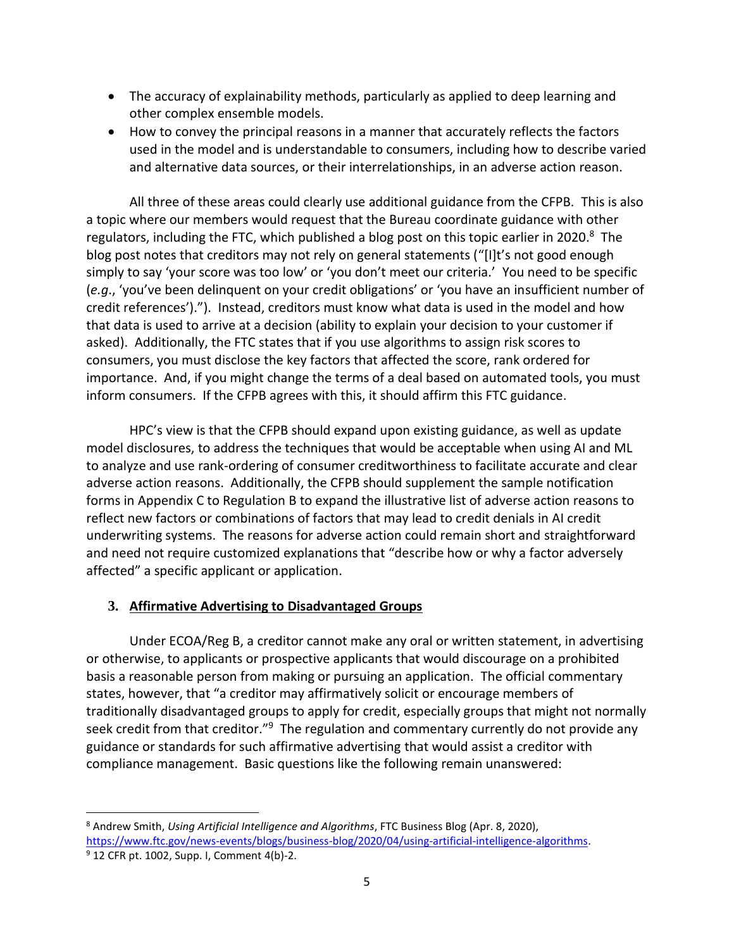- The accuracy of explainability methods, particularly as applied to deep learning and other complex ensemble models.
- How to convey the principal reasons in a manner that accurately reflects the factors used in the model and is understandable to consumers, including how to describe varied and alternative data sources, or their interrelationships, in an adverse action reason.

All three of these areas could clearly use additional guidance from the CFPB. This is also a topic where our members would request that the Bureau coordinate guidance with other regulators, including the FTC, which published a blog post on this topic earlier in 2020.<sup>8</sup> The blog post notes that creditors may not rely on general statements ("[I]t's not good enough simply to say 'your score was too low' or 'you don't meet our criteria.' You need to be specific (*e.g*., 'you've been delinquent on your credit obligations' or 'you have an insufficient number of credit references')."). Instead, creditors must know what data is used in the model and how that data is used to arrive at a decision (ability to explain your decision to your customer if asked). Additionally, the FTC states that if you use algorithms to assign risk scores to consumers, you must disclose the key factors that affected the score, rank ordered for importance. And, if you might change the terms of a deal based on automated tools, you must inform consumers. If the CFPB agrees with this, it should affirm this FTC guidance.

HPC's view is that the CFPB should expand upon existing guidance, as well as update model disclosures, to address the techniques that would be acceptable when using AI and ML to analyze and use rank-ordering of consumer creditworthiness to facilitate accurate and clear adverse action reasons. Additionally, the CFPB should supplement the sample notification forms in Appendix C to Regulation B to expand the illustrative list of adverse action reasons to reflect new factors or combinations of factors that may lead to credit denials in AI credit underwriting systems. The reasons for adverse action could remain short and straightforward and need not require customized explanations that "describe how or why a factor adversely affected" a specific applicant or application.

## **3. Affirmative Advertising to Disadvantaged Groups**

Under ECOA/Reg B, a creditor cannot make any oral or written statement, in advertising or otherwise, to applicants or prospective applicants that would discourage on a prohibited basis a reasonable person from making or pursuing an application. The official commentary states, however, that "a creditor may affirmatively solicit or encourage members of traditionally disadvantaged groups to apply for credit, especially groups that might not normally seek credit from that creditor."<sup>9</sup> The regulation and commentary currently do not provide any guidance or standards for such affirmative advertising that would assist a creditor with compliance management. Basic questions like the following remain unanswered:

<sup>8</sup> Andrew Smith, *Using Artificial Intelligence and Algorithms*, FTC Business Blog (Apr. 8, 2020), [https://www.ftc.gov/news-events/blogs/business-blog/2020/04/using-artificial-intelligence-algorithms.](https://www.ftc.gov/news-events/blogs/business-blog/2020/04/using-artificial-intelligence-algorithms)

<sup>9</sup> 12 CFR pt. 1002, Supp. I, Comment 4(b)-2.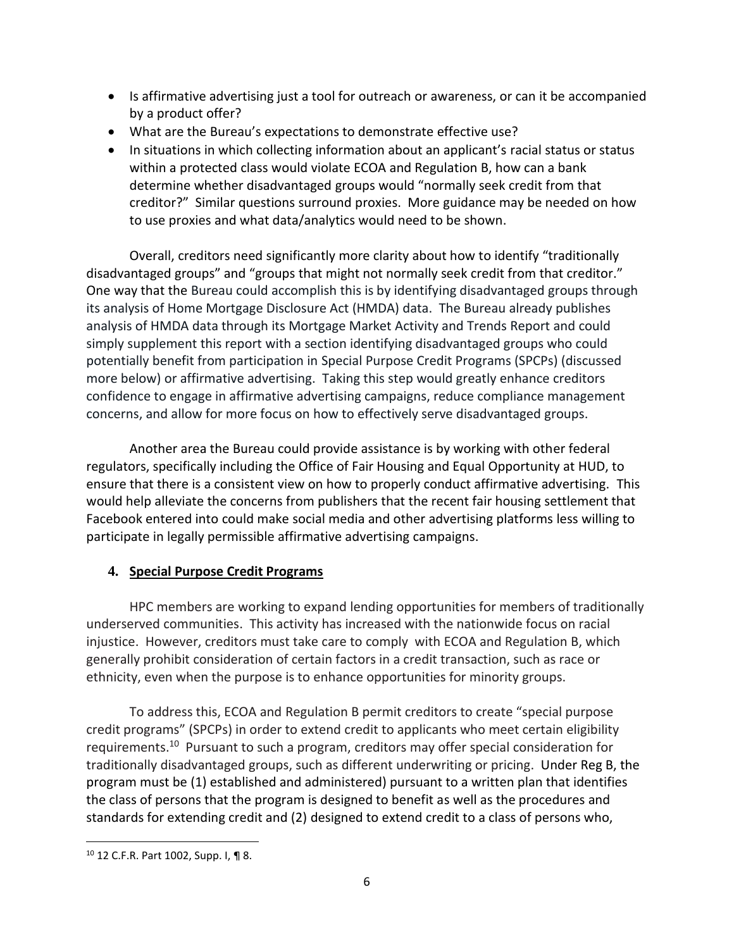- Is affirmative advertising just a tool for outreach or awareness, or can it be accompanied by a product offer?
- What are the Bureau's expectations to demonstrate effective use?
- In situations in which collecting information about an applicant's racial status or status within a protected class would violate ECOA and Regulation B, how can a bank determine whether disadvantaged groups would "normally seek credit from that creditor?" Similar questions surround proxies. More guidance may be needed on how to use proxies and what data/analytics would need to be shown.

Overall, creditors need significantly more clarity about how to identify "traditionally disadvantaged groups" and "groups that might not normally seek credit from that creditor." One way that the Bureau could accomplish this is by identifying disadvantaged groups through its analysis of Home Mortgage Disclosure Act (HMDA) data. The Bureau already publishes analysis of HMDA data through its Mortgage Market Activity and Trends Report and could simply supplement this report with a section identifying disadvantaged groups who could potentially benefit from participation in Special Purpose Credit Programs (SPCPs) (discussed more below) or affirmative advertising. Taking this step would greatly enhance creditors confidence to engage in affirmative advertising campaigns, reduce compliance management concerns, and allow for more focus on how to effectively serve disadvantaged groups.

Another area the Bureau could provide assistance is by working with other federal regulators, specifically including the Office of Fair Housing and Equal Opportunity at HUD, to ensure that there is a consistent view on how to properly conduct affirmative advertising. This would help alleviate the concerns from publishers that the recent fair housing settlement that Facebook entered into could make social media and other advertising platforms less willing to participate in legally permissible affirmative advertising campaigns.

## **4. Special Purpose Credit Programs**

HPC members are working to expand lending opportunities for members of traditionally underserved communities. This activity has increased with the nationwide focus on racial injustice. However, creditors must take care to comply with ECOA and Regulation B, which generally prohibit consideration of certain factors in a credit transaction, such as race or ethnicity, even when the purpose is to enhance opportunities for minority groups.

To address this, ECOA and Regulation B permit creditors to create "special purpose credit programs" (SPCPs) in order to extend credit to applicants who meet certain eligibility requirements.<sup>10</sup> Pursuant to such a program, creditors may offer special consideration for traditionally disadvantaged groups, such as different underwriting or pricing. Under Reg B, the program must be (1) established and administered) pursuant to a written plan that identifies the class of persons that the program is designed to benefit as well as the procedures and standards for extending credit and (2) designed to extend credit to a class of persons who,

<sup>10</sup> 12 C.F.R. Part 1002, Supp. I, ¶ 8.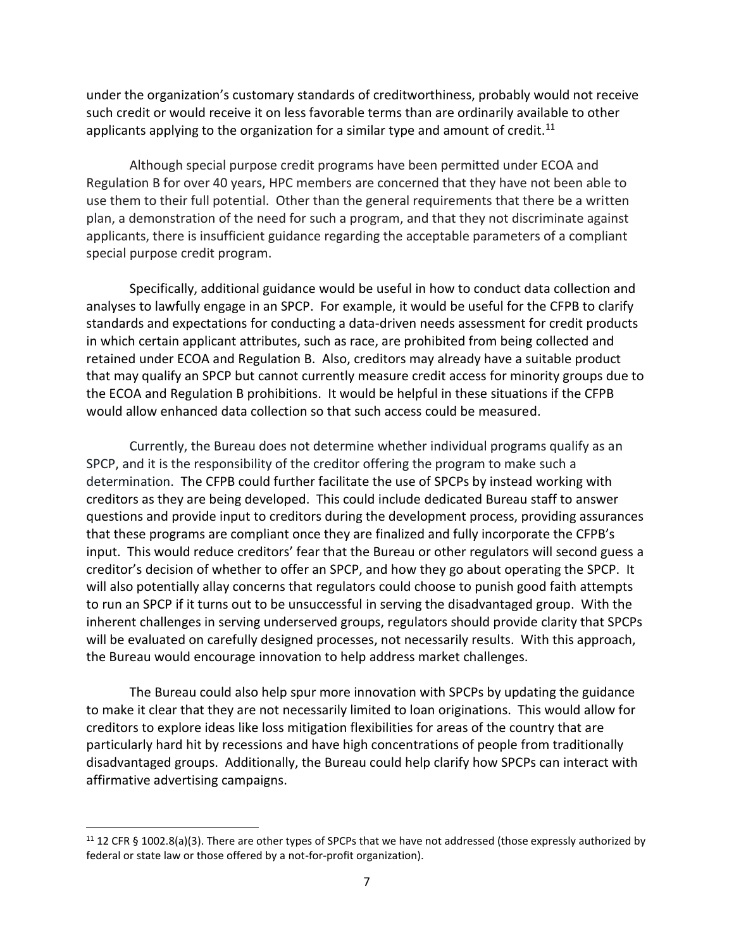under the organization's customary standards of creditworthiness, probably would not receive such credit or would receive it on less favorable terms than are ordinarily available to other applicants applying to the organization for a similar type and amount of credit.<sup>11</sup>

Although special purpose credit programs have been permitted under ECOA and Regulation B for over 40 years, HPC members are concerned that they have not been able to use them to their full potential. Other than the general requirements that there be a written plan, a demonstration of the need for such a program, and that they not discriminate against applicants, there is insufficient guidance regarding the acceptable parameters of a compliant special purpose credit program.

Specifically, additional guidance would be useful in how to conduct data collection and analyses to lawfully engage in an SPCP. For example, it would be useful for the CFPB to clarify standards and expectations for conducting a data-driven needs assessment for credit products in which certain applicant attributes, such as race, are prohibited from being collected and retained under ECOA and Regulation B. Also, creditors may already have a suitable product that may qualify an SPCP but cannot currently measure credit access for minority groups due to the ECOA and Regulation B prohibitions. It would be helpful in these situations if the CFPB would allow enhanced data collection so that such access could be measured.

Currently, the Bureau does not determine whether individual programs qualify as an SPCP, and it is the responsibility of the creditor offering the program to make such a determination. The CFPB could further facilitate the use of SPCPs by instead working with creditors as they are being developed. This could include dedicated Bureau staff to answer questions and provide input to creditors during the development process, providing assurances that these programs are compliant once they are finalized and fully incorporate the CFPB's input. This would reduce creditors' fear that the Bureau or other regulators will second guess a creditor's decision of whether to offer an SPCP, and how they go about operating the SPCP. It will also potentially allay concerns that regulators could choose to punish good faith attempts to run an SPCP if it turns out to be unsuccessful in serving the disadvantaged group. With the inherent challenges in serving underserved groups, regulators should provide clarity that SPCPs will be evaluated on carefully designed processes, not necessarily results. With this approach, the Bureau would encourage innovation to help address market challenges.

The Bureau could also help spur more innovation with SPCPs by updating the guidance to make it clear that they are not necessarily limited to loan originations. This would allow for creditors to explore ideas like loss mitigation flexibilities for areas of the country that are particularly hard hit by recessions and have high concentrations of people from traditionally disadvantaged groups. Additionally, the Bureau could help clarify how SPCPs can interact with affirmative advertising campaigns.

 $11$  12 CFR § 1002.8(a)(3). There are other types of SPCPs that we have not addressed (those expressly authorized by federal or state law or those offered by a not-for-profit organization).